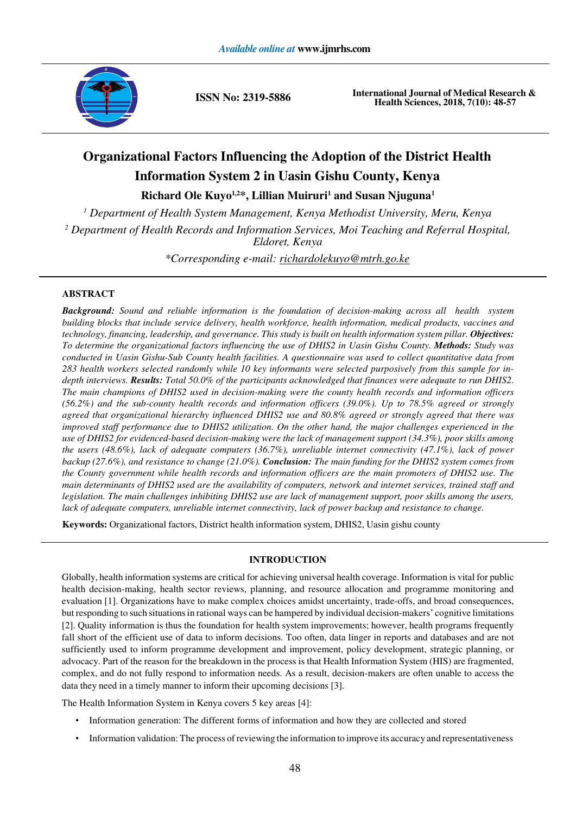

**ISSN No: 2319-5886 International Journal of Medical Research &** <br>**Include Sciences** 2018, 7(10): 48.57 **Health Sciences, 2018, 7(10): 48-57**

# **Organizational Factors Influencing the Adoption of the District Health Information System 2 in Uasin Gishu County, Kenya**

**Richard Ole Kuyo1,2\*, Lillian Muiruri<sup>1</sup>and Susan Njuguna<sup>1</sup>**

*<sup>1</sup>Department of Health System Management, Kenya Methodist University, Meru, Kenya*

*<sup>2</sup>Department of Health Records and Information Services, Moi Teaching and Referral Hospital, Eldoret, Kenya*

*\*Corresponding e-mail: [richardolekuyo@mtrh.go.ke](mailto:richardolekuyo@mtrh.go.ke)*

# **ABSTRACT**

*Background: Sound and reliable information is the foundation of decision-making across all health system building blocks that include service delivery, health workforce, health information, medical products, vaccines and technology, financing, leadership, and governance. This study is built on health information system pillar. Objectives: To determine the organizational factors influencing the use of DHIS2 in Uasin Gishu County. Methods: Study was conducted in Uasin Gishu-Sub County health facilities. A questionnaire was used to collect quantitative data from 283 health workers selected randomly while 10 key informants were selected purposively from this sample for indepth interviews. Results: Total 50.0% of the participants acknowledged that finances were adequate to run DHIS2. The main champions of DHIS2 used in decision-making were the county health records and information officers (56.2%) and the sub-county health records and information officers (39.0%). Up to 78.5% agreed or strongly agreed that organizational hierarchy influenced DHIS2 use and 80.8% agreed or strongly agreed that there was improved staff performance due to DHIS2 utilization. On the other hand, the major challenges experienced in the use of DHIS2 for evidenced-based decision-making were the lack of management support (34.3%), poor skills among the users (48.6%), lack of adequate computers (36.7%), unreliable internet connectivity (47.1%), lack of power backup (27.6%), and resistance to change (21.0%). Conclusion: The main funding for the DHIS2 system comes from the County government while health records and information officers are the main promoters of DHIS2 use. The main determinants of DHIS2 used are the availability of computers, network and internet services, trained staff and legislation. The main challenges inhibiting DHIS2 use are lack of management support, poor skills among the users, lack of adequate computers, unreliable internet connectivity, lack of power backup and resistance to change.*

**Keywords:** Organizational factors, District health information system, DHIS2, Uasin gishu county

# **INTRODUCTION**

Globally, health information systems are critical for achieving universal health coverage. Information is vital for public health decision-making, health sector reviews, planning, and resource allocation and programme monitoring and evaluation [1]. Organizations have to make complex choices amidst uncertainty, trade-offs, and broad consequences, but responding to such situations in rational ways can be hampered by individual decision-makers' cognitive limitations [2]. Quality information is thus the foundation for health system improvements; however, health programs frequently fall short of the efficient use of data to inform decisions. Too often, data linger in reports and databases and are not sufficiently used to inform programme development and improvement, policy development, strategic planning, or advocacy. Part of the reason for the breakdown in the process is that Health Information System (HIS) are fragmented, complex, and do not fully respond to information needs. As a result, decision-makers are often unable to access the data they need in a timely manner to inform their upcoming decisions [3].

The Health Information System in Kenya covers 5 key areas [4]:

- Information generation: The different forms of information and how they are collected and stored
- Information validation: The process of reviewing the information to improve its accuracy and representativeness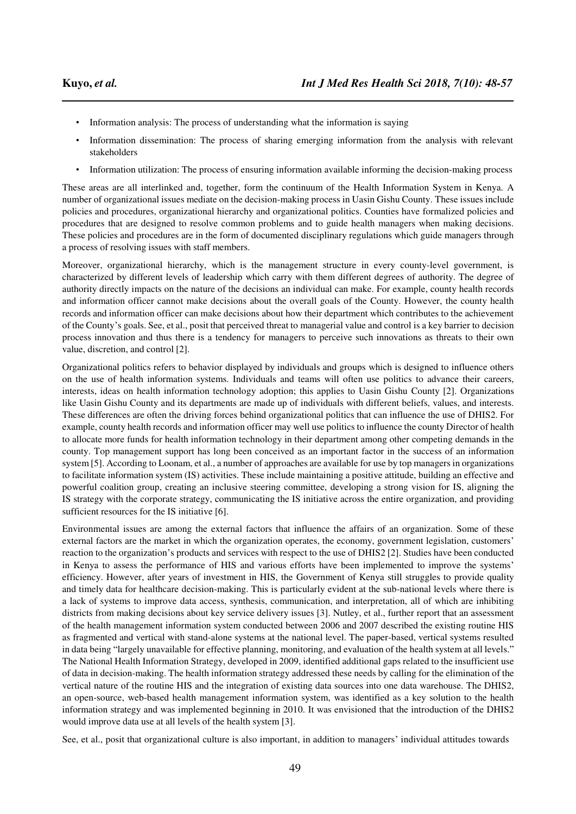- Information analysis: The process of understanding what the information is saying
- Information dissemination: The process of sharing emerging information from the analysis with relevant stakeholders
- Information utilization: The process of ensuring information available informing the decision-making process

These areas are all interlinked and, together, form the continuum of the Health Information System in Kenya. A number of organizational issues mediate on the decision-making process in Uasin Gishu County. These issues include policies and procedures, organizational hierarchy and organizational politics. Counties have formalized policies and procedures that are designed to resolve common problems and to guide health managers when making decisions. These policies and procedures are in the form of documented disciplinary regulations which guide managers through a process of resolving issues with staff members.

Moreover, organizational hierarchy, which is the management structure in every county-level government, is characterized by different levels of leadership which carry with them different degrees of authority. The degree of authority directly impacts on the nature of the decisions an individual can make. For example, county health records and information officer cannot make decisions about the overall goals of the County. However, the county health records and information officer can make decisions about how their department which contributes to the achievement of the County's goals. See, et al., posit that perceived threat to managerial value and control is a key barrier to decision process innovation and thus there is a tendency for managers to perceive such innovations as threats to their own value, discretion, and control [2].

Organizational politics refers to behavior displayed by individuals and groups which is designed to influence others on the use of health information systems. Individuals and teams will often use politics to advance their careers, interests, ideas on health information technology adoption; this applies to Uasin Gishu County [2]. Organizations like Uasin Gishu County and its departments are made up of individuals with different beliefs, values, and interests. These differences are often the driving forces behind organizational politics that can influence the use of DHIS2. For example, county health records and information officer may well use politics to influence the county Director of health to allocate more funds for health information technology in their department among other competing demands in the county. Top management support has long been conceived as an important factor in the success of an information system [5]. According to Loonam, et al., a number of approaches are available for use by top managers in organizations to facilitate information system (IS) activities. These include maintaining a positive attitude, building an effective and powerful coalition group, creating an inclusive steering committee, developing a strong vision for IS, aligning the IS strategy with the corporate strategy, communicating the IS initiative across the entire organization, and providing sufficient resources for the IS initiative [6].

Environmental issues are among the external factors that influence the affairs of an organization. Some of these external factors are the market in which the organization operates, the economy, government legislation, customers' reaction to the organization's products and services with respect to the use of DHIS2 [2]. Studies have been conducted in Kenya to assess the performance of HIS and various efforts have been implemented to improve the systems' efficiency. However, after years of investment in HIS, the Government of Kenya still struggles to provide quality and timely data for healthcare decision-making. This is particularly evident at the sub-national levels where there is a lack of systems to improve data access, synthesis, communication, and interpretation, all of which are inhibiting districts from making decisions about key service delivery issues [3]. Nutley, et al., further report that an assessment of the health management information system conducted between 2006 and 2007 described the existing routine HIS as fragmented and vertical with stand-alone systems at the national level. The paper-based, vertical systems resulted in data being "largely unavailable for effective planning, monitoring, and evaluation of the health system at all levels." The National Health Information Strategy, developed in 2009, identified additional gaps related to the insufficient use of data in decision-making. The health information strategy addressed these needs by calling for the elimination of the vertical nature of the routine HIS and the integration of existing data sources into one data warehouse. The DHIS2, an open-source, web-based health management information system, was identified as a key solution to the health information strategy and was implemented beginning in 2010. It was envisioned that the introduction of the DHIS2 would improve data use at all levels of the health system [3].

See, et al., posit that organizational culture is also important, in addition to managers' individual attitudes towards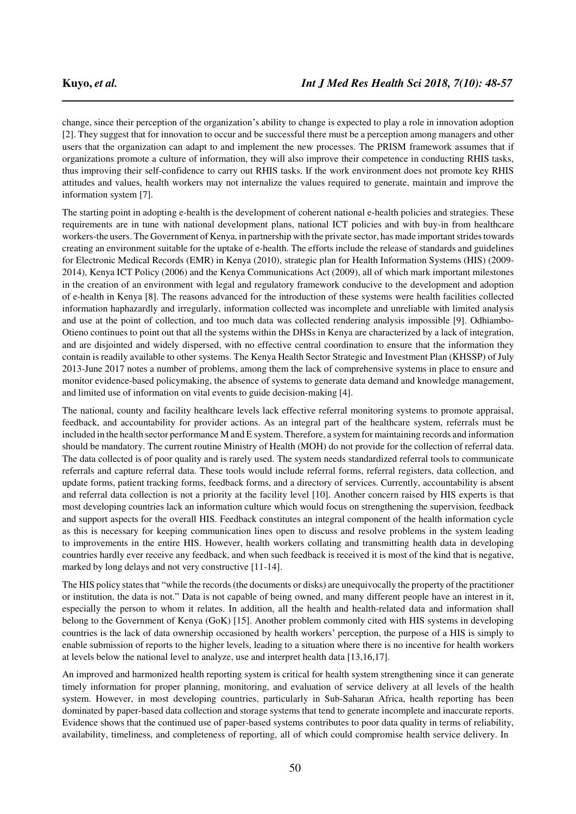change, since their perception of the organization's ability to change is expected to play a role in innovation adoption [2]. They suggest that for innovation to occur and be successful there must be a perception among managers and other users that the organization can adapt to and implement the new processes. The PRISM framework assumes that if organizations promote a culture of information, they will also improve their competence in conducting RHIS tasks, thus improving their self-confidence to carry out RHIS tasks. If the work environment does not promote key RHIS attitudes and values, health workers may not internalize the values required to generate, maintain and improve the information system [7].

The starting point in adopting e-health is the development of coherent national e-health policies and strategies. These requirements are in tune with national development plans, national ICT policies and with buy-in from healthcare workers-the users. The Government of Kenya, in partnership with the private sector, has made important strides towards creating an environment suitable for the uptake of e-health. The efforts include the release of standards and guidelines for Electronic Medical Records (EMR) in Kenya (2010), strategic plan for Health Information Systems (HIS) (2009- 2014), Kenya ICT Policy (2006) and the Kenya Communications Act (2009), all of which mark important milestones in the creation of an environment with legal and regulatory framework conducive to the development and adoption of e-health in Kenya [8]. The reasons advanced for the introduction of these systems were health facilities collected information haphazardly and irregularly, information collected was incomplete and unreliable with limited analysis and use at the point of collection, and too much data was collected rendering analysis impossible [9]. Odhiambo-Otieno continues to point out that all the systems within the DHSs in Kenya are characterized by a lack of integration, and are disjointed and widely dispersed, with no effective central coordination to ensure that the information they contain is readily available to other systems. The Kenya Health Sector Strategic and Investment Plan (KHSSP) of July 2013-June 2017 notes a number of problems, among them the lack of comprehensive systems in place to ensure and monitor evidence-based policymaking, the absence of systems to generate data demand and knowledge management, and limited use of information on vital events to guide decision-making [4].

The national, county and facility healthcare levels lack effective referral monitoring systems to promote appraisal, feedback, and accountability for provider actions. As an integral part of the healthcare system, referrals must be included in the health sector performance M and E system. Therefore, a system for maintaining records and information should be mandatory. The current routine Ministry of Health (MOH) do not provide for the collection of referral data. The data collected is of poor quality and is rarely used. The system needs standardized referral tools to communicate referrals and capture referral data. These tools would include referral forms, referral registers, data collection, and update forms, patient tracking forms, feedback forms, and a directory of services. Currently, accountability is absent and referral data collection is not a priority at the facility level [10]. Another concern raised by HIS experts is that most developing countries lack an information culture which would focus on strengthening the supervision, feedback and support aspects for the overall HIS. Feedback constitutes an integral component of the health information cycle as this is necessary for keeping communication lines open to discuss and resolve problems in the system leading to improvements in the entire HIS. However, health workers collating and transmitting health data in developing countries hardly ever receive any feedback, and when such feedback is received it is most of the kind that is negative, marked by long delays and not very constructive [11-14].

The HIS policy states that "while the records (the documents or disks) are unequivocally the property of the practitioner or institution, the data is not." Data is not capable of being owned, and many different people have an interest in it, especially the person to whom it relates. In addition, all the health and health-related data and information shall belong to the Government of Kenya (GoK) [15]. Another problem commonly cited with HIS systems in developing countries is the lack of data ownership occasioned by health workers' perception, the purpose of a HIS is simply to enable submission of reports to the higher levels, leading to a situation where there is no incentive for health workers at levels below the national level to analyze, use and interpret health data [13,16,17].

An improved and harmonized health reporting system is critical for health system strengthening since it can generate timely information for proper planning, monitoring, and evaluation of service delivery at all levels of the health system. However, in most developing countries, particularly in Sub-Saharan Africa, health reporting has been dominated by paper-based data collection and storage systems that tend to generate incomplete and inaccurate reports. Evidence shows that the continued use of paper-based systems contributes to poor data quality in terms of reliability, availability, timeliness, and completeness of reporting, all of which could compromise health service delivery. In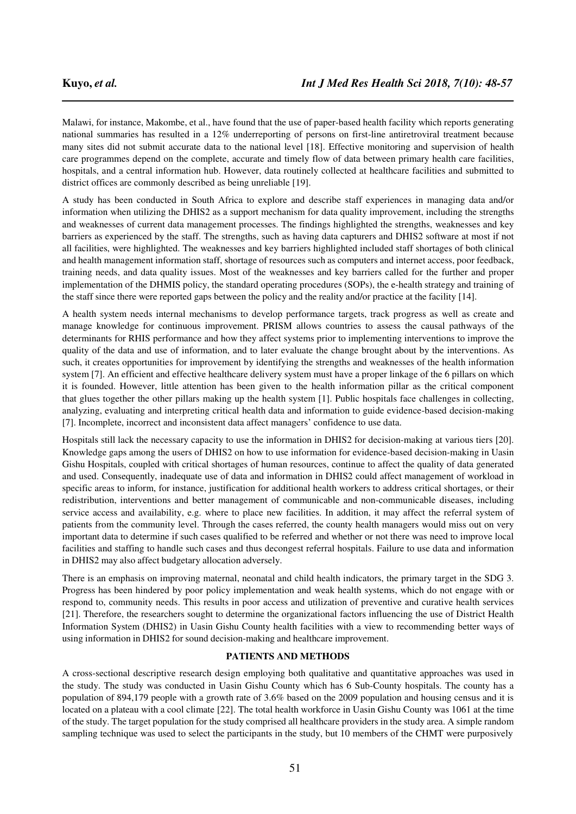Malawi, for instance, Makombe, et al., have found that the use of paper-based health facility which reports generating national summaries has resulted in a 12% underreporting of persons on first-line antiretroviral treatment because many sites did not submit accurate data to the national level [18]. Effective monitoring and supervision of health care programmes depend on the complete, accurate and timely flow of data between primary health care facilities, hospitals, and a central information hub. However, data routinely collected at healthcare facilities and submitted to district offices are commonly described as being unreliable [19].

A study has been conducted in South Africa to explore and describe staff experiences in managing data and/or information when utilizing the DHIS2 as a support mechanism for data quality improvement, including the strengths and weaknesses of current data management processes. The findings highlighted the strengths, weaknesses and key barriers as experienced by the staff. The strengths, such as having data capturers and DHIS2 software at most if not all facilities, were highlighted. The weaknesses and key barriers highlighted included staff shortages of both clinical and health management information staff, shortage of resources such as computers and internet access, poor feedback, training needs, and data quality issues. Most of the weaknesses and key barriers called for the further and proper implementation of the DHMIS policy, the standard operating procedures (SOPs), the e-health strategy and training of the staff since there were reported gaps between the policy and the reality and/or practice at the facility [14].

A health system needs internal mechanisms to develop performance targets, track progress as well as create and manage knowledge for continuous improvement. PRISM allows countries to assess the causal pathways of the determinants for RHIS performance and how they affect systems prior to implementing interventions to improve the quality of the data and use of information, and to later evaluate the change brought about by the interventions. As such, it creates opportunities for improvement by identifying the strengths and weaknesses of the health information system [7]. An efficient and effective healthcare delivery system must have a proper linkage of the 6 pillars on which it is founded. However, little attention has been given to the health information pillar as the critical component that glues together the other pillars making up the health system [1]. Public hospitals face challenges in collecting, analyzing, evaluating and interpreting critical health data and information to guide evidence-based decision-making [7]. Incomplete, incorrect and inconsistent data affect managers' confidence to use data.

Hospitals still lack the necessary capacity to use the information in DHIS2 for decision-making at various tiers [20]. Knowledge gaps among the users of DHIS2 on how to use information for evidence-based decision-making in Uasin Gishu Hospitals, coupled with critical shortages of human resources, continue to affect the quality of data generated and used. Consequently, inadequate use of data and information in DHIS2 could affect management of workload in specific areas to inform, for instance, justification for additional health workers to address critical shortages, or their redistribution, interventions and better management of communicable and non-communicable diseases, including service access and availability, e.g. where to place new facilities. In addition, it may affect the referral system of patients from the community level. Through the cases referred, the county health managers would miss out on very important data to determine if such cases qualified to be referred and whether or not there was need to improve local facilities and staffing to handle such cases and thus decongest referral hospitals. Failure to use data and information in DHIS2 may also affect budgetary allocation adversely.

There is an emphasis on improving maternal, neonatal and child health indicators, the primary target in the SDG 3. Progress has been hindered by poor policy implementation and weak health systems, which do not engage with or respond to, community needs. This results in poor access and utilization of preventive and curative health services [21]. Therefore, the researchers sought to determine the organizational factors influencing the use of District Health Information System (DHIS2) in Uasin Gishu County health facilities with a view to recommending better ways of using information in DHIS2 for sound decision-making and healthcare improvement.

# **PATIENTS AND METHODS**

A cross-sectional descriptive research design employing both qualitative and quantitative approaches was used in the study. The study was conducted in Uasin Gishu County which has 6 Sub-County hospitals. The county has a population of 894,179 people with a growth rate of 3.6% based on the 2009 population and housing census and it is located on a plateau with a cool climate [22]. The total health workforce in Uasin Gishu County was 1061 at the time of the study. The target population for the study comprised all healthcare providers in the study area. A simple random sampling technique was used to select the participants in the study, but 10 members of the CHMT were purposively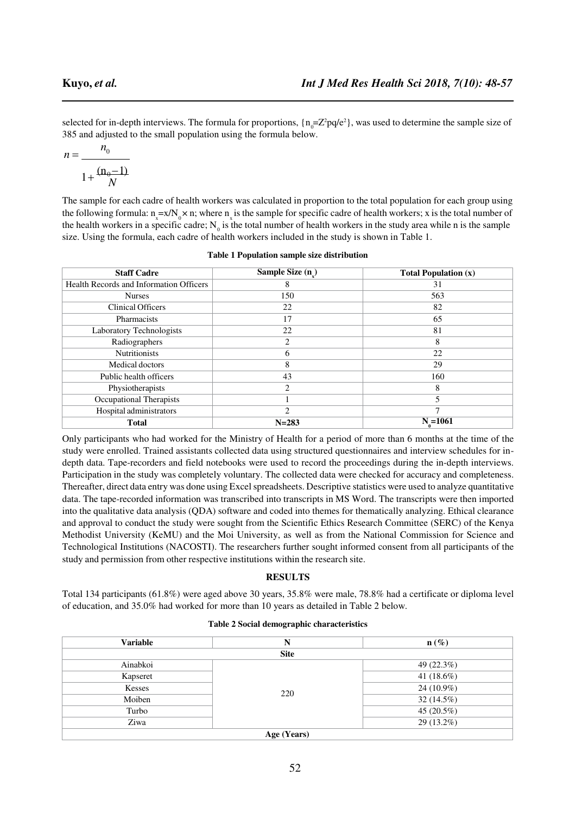$385$  and adjusted to the small population using the formula below. selected for in-depth interviews. The formula for proportions,  $\{n = Z^2pq/e^2\}$ , was used to determine the sample size of

$$
n = \frac{n_0}{1 + \frac{(n_0 - 1)}{N}}
$$

the health workers in a specific cadre;  $N_0$  is the total number of health workers in the study area while n is the sample The sample for each cadre of health workers was calculated in proportion to the total population for each group using the following formula:  $n = x/N_0 \times n$ ; where n is the sample for specific cadre of health workers; x is the total number of size. Using the formula, each cadre of health workers included in the study is shown in Table 1.

| <b>Staff Cadre</b>                      | Sample Size (n) | <b>Total Population (x)</b> |
|-----------------------------------------|-----------------|-----------------------------|
| Health Records and Information Officers | 8               | 31                          |
| <b>Nurses</b>                           | 150             | 563                         |
| <b>Clinical Officers</b>                | 22              | 82                          |
| Pharmacists                             | 17              | 65                          |
| Laboratory Technologists                | 22              | 81                          |
| Radiographers                           | 2               | 8                           |
| <b>Nutritionists</b>                    | 6               | 22                          |
| Medical doctors                         | 8               | 29                          |
| Public health officers                  | 43              | 160                         |
| Physiotherapists                        | 2               | 8                           |
| Occupational Therapists                 |                 |                             |
| Hospital administrators                 | $\mathfrak{D}$  | ┑                           |
| <b>Total</b>                            | $N = 283$       | $N_{0} = 1061$              |

|  | <b>Table 1 Population sample size distribution</b> |  |  |
|--|----------------------------------------------------|--|--|
|--|----------------------------------------------------|--|--|

Only participants who had worked for the Ministry of Health for a period of more than 6 months at the time of the study were enrolled. Trained assistants collected data using structured questionnaires and interview schedules for indepth data. Tape-recorders and field notebooks were used to record the proceedings during the in-depth interviews. Participation in the study was completely voluntary. The collected data were checked for accuracy and completeness. Thereafter, direct data entry was done using Excel spreadsheets. Descriptive statistics were used to analyze quantitative data. The tape-recorded information was transcribed into transcripts in MS Word. The transcripts were then imported into the qualitative data analysis (QDA) software and coded into themes for thematically analyzing. Ethical clearance and approval to conduct the study were sought from the Scientific Ethics Research Committee (SERC) of the Kenya Methodist University (KeMU) and the Moi University, as well as from the National Commission for Science and Technological Institutions (NACOSTI). The researchers further sought informed consent from all participants of the study and permission from other respective institutions within the research site.

# **RESULTS**

Total 134 participants (61.8%) were aged above 30 years, 35.8% were male, 78.8% had a certificate or diploma level of education, and 35.0% had worked for more than 10 years as detailed in Table 2 below.

# **Table 2 Social demographic characteristics**

| <b>Variable</b> | N           | $\mathbf{n}(\%)$ |  |  |
|-----------------|-------------|------------------|--|--|
|                 | <b>Site</b> |                  |  |  |
| Ainabkoi        | 220         | 49 (22.3%)       |  |  |
| Kapseret        |             | 41 $(18.6\%)$    |  |  |
| Kesses          |             | 24 (10.9%)       |  |  |
| Moiben          |             | 32 (14.5%)       |  |  |
| Turbo           |             | 45 (20.5%)       |  |  |
| Ziwa            |             | 29 (13.2%)       |  |  |
| Age (Years)     |             |                  |  |  |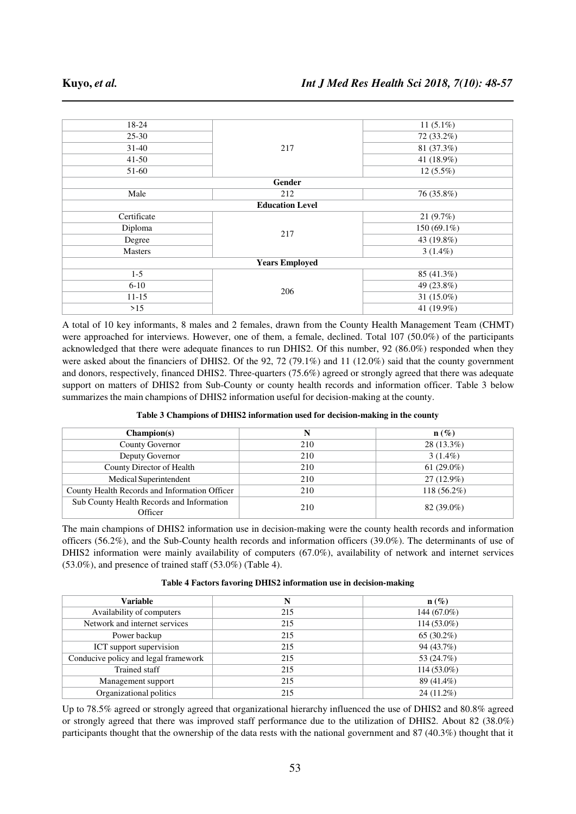| 18-24          | 217                    | 11 $(5.1\%)$  |
|----------------|------------------------|---------------|
| $25 - 30$      |                        | 72 (33.2%)    |
| $31-40$        |                        | 81 (37.3%)    |
| $41-50$        |                        | 41 (18.9%)    |
| 51-60          |                        | $12(5.5\%)$   |
|                | Gender                 |               |
| Male           | 212                    | 76 (35.8%)    |
|                | <b>Education Level</b> |               |
| Certificate    | 217                    | 21(9.7%)      |
| Diploma        |                        | 150 (69.1%)   |
| Degree         |                        | 43 (19.8%)    |
| <b>Masters</b> |                        | $3(1.4\%)$    |
|                | <b>Years Employed</b>  |               |
| $1 - 5$        | 206                    | 85 (41.3%)    |
| $6 - 10$       |                        | 49 (23.8%)    |
| $11 - 15$      |                        | 31 $(15.0\%)$ |
| $>15$          |                        | 41 (19.9%)    |

A total of 10 key informants, 8 males and 2 females, drawn from the County Health Management Team (CHMT) were approached for interviews. However, one of them, a female, declined. Total 107 (50.0%) of the participants acknowledged that there were adequate finances to run DHIS2. Of this number, 92 (86.0%) responded when they were asked about the financiers of DHIS2. Of the 92, 72 (79.1%) and 11 (12.0%) said that the county government and donors, respectively, financed DHIS2. Three-quarters (75.6%) agreed or strongly agreed that there was adequate support on matters of DHIS2 from Sub-County or county health records and information officer. Table 3 below summarizes the main champions of DHIS2 information useful for decision-making at the county.

|  | Table 3 Champions of DHIS2 information used for decision-making in the county |  |  |
|--|-------------------------------------------------------------------------------|--|--|
|  |                                                                               |  |  |

| Champion(s)                                          | N   | $\mathbf{n}(\%)$ |
|------------------------------------------------------|-----|------------------|
| <b>County Governor</b>                               | 210 | $28(13.3\%)$     |
| Deputy Governor                                      | 210 | $3(1.4\%)$       |
| County Director of Health                            | 210 | 61 $(29.0\%)$    |
| Medical Superintendent                               | 210 | $27(12.9\%)$     |
| County Health Records and Information Officer        | 210 | $118(56.2\%)$    |
| Sub County Health Records and Information<br>Officer | 210 | 82 (39.0%)       |

The main champions of DHIS2 information use in decision-making were the county health records and information officers (56.2%), and the Sub-County health records and information officers (39.0%). The determinants of use of DHIS2 information were mainly availability of computers (67.0%), availability of network and internet services (53.0%), and presence of trained staff (53.0%) (Table 4).

| Table 4 Factors favoring DHIS2 information use in decision-making |  |  |
|-------------------------------------------------------------------|--|--|
|-------------------------------------------------------------------|--|--|

| <b>Variable</b>                      | N   | $\mathbf{n}(\%)$ |
|--------------------------------------|-----|------------------|
| Availability of computers            | 215 | $144(67.0\%)$    |
| Network and internet services        | 215 | $114(53.0\%)$    |
| Power backup                         | 215 | 65 $(30.2\%)$    |
| ICT support supervision              | 215 | 94 (43.7%)       |
| Conducive policy and legal framework | 215 | 53 (24.7%)       |
| Trained staff                        | 215 | $114(53.0\%)$    |
| Management support                   | 215 | 89 (41.4%)       |
| Organizational politics              | 215 | $24(11.2\%)$     |

Up to 78.5% agreed or strongly agreed that organizational hierarchy influenced the use of DHIS2 and 80.8% agreed or strongly agreed that there was improved staff performance due to the utilization of DHIS2. About 82 (38.0%) participants thought that the ownership of the data rests with the national government and 87 (40.3%) thought that it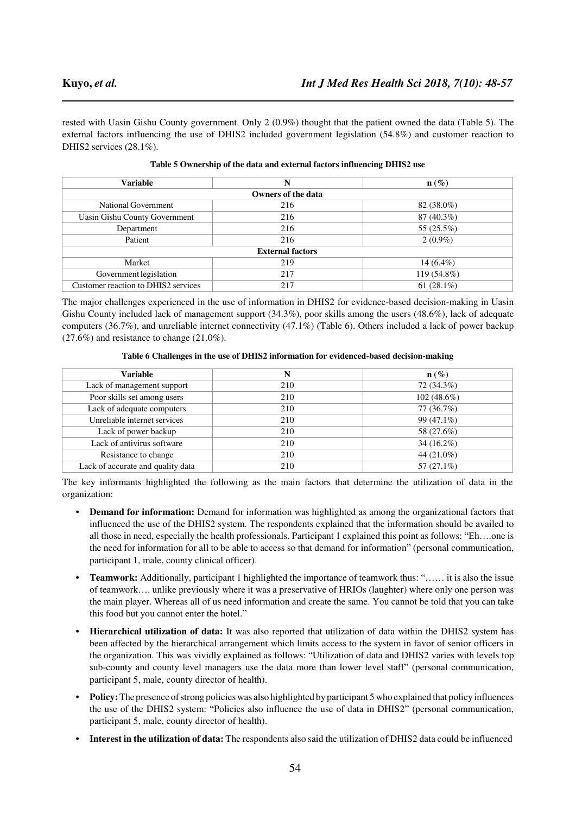rested with Uasin Gishu County government. Only 2 (0.9%) thought that the patient owned the data (Table 5). The external factors influencing the use of DHIS2 included government legislation (54.8%) and customer reaction to DHIS2 services (28.1%).

| <b>Variable</b>                     | N                  | $n(\%)$       |  |  |  |
|-------------------------------------|--------------------|---------------|--|--|--|
|                                     | Owners of the data |               |  |  |  |
| National Government                 | 216                | 82 (38.0%)    |  |  |  |
| Uasin Gishu County Government       | 216                | $87(40.3\%)$  |  |  |  |
| Department                          | 216                | 55 (25.5%)    |  |  |  |
| Patient                             | 216                | $2(0.9\%)$    |  |  |  |
| <b>External factors</b>             |                    |               |  |  |  |
| Market                              | 219                | 14 $(6.4\%)$  |  |  |  |
| Government legislation              | 217                | 119 (54.8%)   |  |  |  |
| Customer reaction to DHIS2 services | 217                | 61 $(28.1\%)$ |  |  |  |

**Table 5 Ownership of the data and external factors influencing DHIS2 use**

The major challenges experienced in the use of information in DHIS2 for evidence-based decision-making in Uasin Gishu County included lack of management support (34.3%), poor skills among the users (48.6%), lack of adequate computers (36.7%), and unreliable internet connectivity (47.1%) (Table 6). Others included a lack of power backup  $(27.6\%)$  and resistance to change  $(21.0\%).$ 

**Table 6 Challenges in the use of DHIS2 information for evidenced-based decision-making**

| Variable                          | N   | $\mathbf{n}(\%)$ |
|-----------------------------------|-----|------------------|
| Lack of management support        | 210 | 72 (34.3%)       |
| Poor skills set among users       | 210 | $102(48.6\%)$    |
| Lack of adequate computers        | 210 | 77(36.7%)        |
| Unreliable internet services      | 210 | 99 (47.1%)       |
| Lack of power backup              | 210 | 58 (27.6%)       |
| Lack of antivirus software        | 210 | $34(16.2\%)$     |
| Resistance to change              | 210 | 44 (21.0%)       |
| Lack of accurate and quality data | 210 | 57 $(27.1\%)$    |

The key informants highlighted the following as the main factors that determine the utilization of data in the organization:

- **• Demand for information:** Demand for information was highlighted as among the organizational factors that influenced the use of the DHIS2 system. The respondents explained that the information should be availed to all those in need, especially the health professionals. Participant 1 explained this point as follows: "Eh….one is the need for information for all to be able to access so that demand for information" (personal communication, participant 1, male, county clinical officer).
- **• Teamwork:** Additionally, participant 1 highlighted the importance of teamwork thus: "…… it is also the issue of teamwork…. unlike previously where it was a preservative of HRIOs (laughter) where only one person was the main player. Whereas all of us need information and create the same. You cannot be told that you can take this food but you cannot enter the hotel."
- **• Hierarchical utilization of data:** It was also reported that utilization of data within the DHIS2 system has been affected by the hierarchical arrangement which limits access to the system in favor of senior officers in the organization. This was vividly explained as follows: "Utilization of data and DHIS2 varies with levels top sub-county and county level managers use the data more than lower level staff" (personal communication, participant 5, male, county director of health).
- **• Policy:** The presence of strong policies was also highlighted by participant 5 who explained that policy influences the use of the DHIS2 system: "Policies also influence the use of data in DHIS2" (personal communication, participant 5, male, county director of health).
- **• Interest in the utilization of data:** The respondents also said the utilization of DHIS2 data could be influenced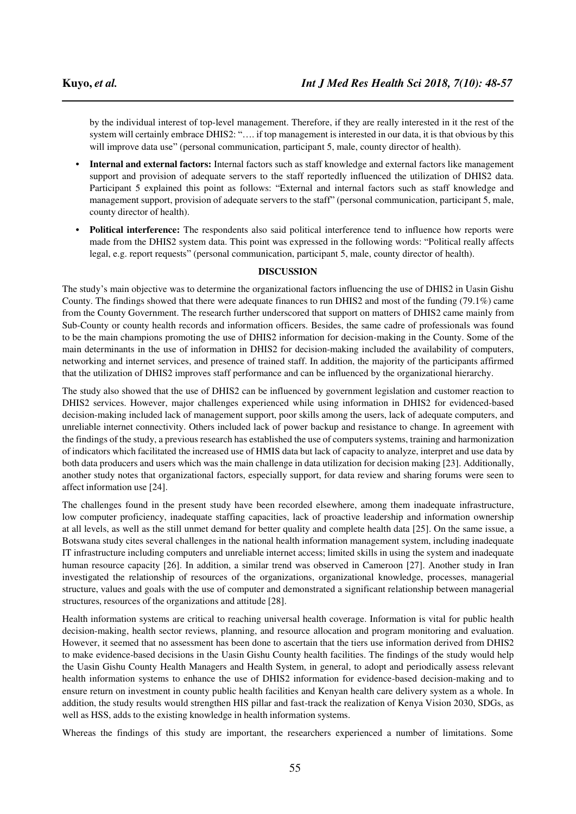by the individual interest of top-level management. Therefore, if they are really interested in it the rest of the system will certainly embrace DHIS2: ".... if top management is interested in our data, it is that obvious by this will improve data use" (personal communication, participant 5, male, county director of health).

- **• Internal and external factors:** Internal factors such as staff knowledge and external factors like management support and provision of adequate servers to the staff reportedly influenced the utilization of DHIS2 data. Participant 5 explained this point as follows: "External and internal factors such as staff knowledge and management support, provision of adequate servers to the staff" (personal communication, participant 5, male, county director of health).
- **• Political interference:** The respondents also said political interference tend to influence how reports were made from the DHIS2 system data. This point was expressed in the following words: "Political really affects legal, e.g. report requests" (personal communication, participant 5, male, county director of health).

# **DISCUSSION**

The study's main objective was to determine the organizational factors influencing the use of DHIS2 in Uasin Gishu County. The findings showed that there were adequate finances to run DHIS2 and most of the funding (79.1%) came from the County Government. The research further underscored that support on matters of DHIS2 came mainly from Sub-County or county health records and information officers. Besides, the same cadre of professionals was found to be the main champions promoting the use of DHIS2 information for decision-making in the County. Some of the main determinants in the use of information in DHIS2 for decision-making included the availability of computers, networking and internet services, and presence of trained staff. In addition, the majority of the participants affirmed that the utilization of DHIS2 improves staff performance and can be influenced by the organizational hierarchy.

The study also showed that the use of DHIS2 can be influenced by government legislation and customer reaction to DHIS2 services. However, major challenges experienced while using information in DHIS2 for evidenced-based decision-making included lack of management support, poor skills among the users, lack of adequate computers, and unreliable internet connectivity. Others included lack of power backup and resistance to change. In agreement with the findings of the study, a previous research has established the use of computers systems, training and harmonization of indicators which facilitated the increased use of HMIS data but lack of capacity to analyze, interpret and use data by both data producers and users which was the main challenge in data utilization for decision making [23]. Additionally, another study notes that organizational factors, especially support, for data review and sharing forums were seen to affect information use [24].

The challenges found in the present study have been recorded elsewhere, among them inadequate infrastructure, low computer proficiency, inadequate staffing capacities, lack of proactive leadership and information ownership at all levels, as well as the still unmet demand for better quality and complete health data [25]. On the same issue, a Botswana study cites several challenges in the national health information management system, including inadequate IT infrastructure including computers and unreliable internet access; limited skills in using the system and inadequate human resource capacity [26]. In addition, a similar trend was observed in Cameroon [27]. Another study in Iran investigated the relationship of resources of the organizations, organizational knowledge, processes, managerial structure, values and goals with the use of computer and demonstrated a significant relationship between managerial structures, resources of the organizations and attitude [28].

Health information systems are critical to reaching universal health coverage. Information is vital for public health decision-making, health sector reviews, planning, and resource allocation and program monitoring and evaluation. However, it seemed that no assessment has been done to ascertain that the tiers use information derived from DHIS2 to make evidence-based decisions in the Uasin Gishu County health facilities. The findings of the study would help the Uasin Gishu County Health Managers and Health System, in general, to adopt and periodically assess relevant health information systems to enhance the use of DHIS2 information for evidence-based decision-making and to ensure return on investment in county public health facilities and Kenyan health care delivery system as a whole. In addition, the study results would strengthen HIS pillar and fast-track the realization of Kenya Vision 2030, SDGs, as well as HSS, adds to the existing knowledge in health information systems.

Whereas the findings of this study are important, the researchers experienced a number of limitations. Some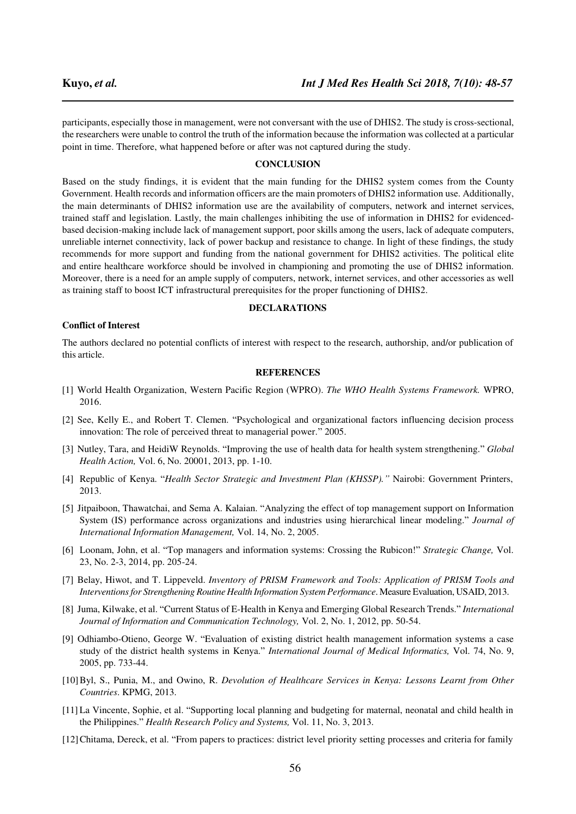participants, especially those in management, were not conversant with the use of DHIS2. The study is cross-sectional, the researchers were unable to control the truth of the information because the information was collected at a particular point in time. Therefore, what happened before or after was not captured during the study.

### **CONCLUSION**

Based on the study findings, it is evident that the main funding for the DHIS2 system comes from the County Government. Health records and information officers are the main promoters of DHIS2 information use. Additionally, the main determinants of DHIS2 information use are the availability of computers, network and internet services, trained staff and legislation. Lastly, the main challenges inhibiting the use of information in DHIS2 for evidencedbased decision-making include lack of management support, poor skills among the users, lack of adequate computers, unreliable internet connectivity, lack of power backup and resistance to change. In light of these findings, the study recommends for more support and funding from the national government for DHIS2 activities. The political elite and entire healthcare workforce should be involved in championing and promoting the use of DHIS2 information. Moreover, there is a need for an ample supply of computers, network, internet services, and other accessories as well as training staff to boost ICT infrastructural prerequisites for the proper functioning of DHIS2.

### **DECLARATIONS**

### **Conflict of Interest**

The authors declared no potential conflicts of interest with respect to the research, authorship, and/or publication of this article.

# **REFERENCES**

- [1] World Health Organization, Western Pacific Region (WPRO). *The WHO Health Systems Framework.* WPRO, 2016.
- [2] See, Kelly E., and Robert T. Clemen. "Psychological and organizational factors influencing decision process innovation: The role of perceived threat to managerial power." 2005.
- [3] Nutley, Tara, and HeidiW Reynolds. "Improving the use of health data for health system strengthening." *Global Health Action,* Vol. 6, No. 20001, 2013, pp. 1-10.
- [4] Republic of Kenya. "*Health Sector Strategic and Investment Plan (KHSSP)."* Nairobi: Government Printers, 2013.
- [5] Jitpaiboon, Thawatchai, and Sema A. Kalaian. "Analyzing the effect of top management support on Information System (IS) performance across organizations and industries using hierarchical linear modeling." *Journal of International Information Management,* Vol. 14, No. 2, 2005.
- [6] Loonam, John, et al. "Top managers and information systems: Crossing the Rubicon!" *Strategic Change,* Vol. 23, No. 2-3, 2014, pp. 205-24.
- [7] Belay, Hiwot, and T. Lippeveld. *Inventory of PRISM Framework and Tools: Application of PRISM Tools and Interventions for Strengthening Routine Health Information System Performance*. Measure Evaluation, USAID, 2013.
- [8] Juma, Kilwake, et al. "Current Status of E-Health in Kenya and Emerging Global Research Trends." *International Journal of Information and Communication Technology,* Vol. 2, No. 1, 2012, pp. 50-54.
- [9] Odhiambo-Otieno, George W. "Evaluation of existing district health management information systems a case study of the district health systems in Kenya." *International Journal of Medical Informatics,* Vol. 74, No. 9, 2005, pp. 733-44.
- [10] Byl, S., Punia, M., and Owino, R. *Devolution of Healthcare Services in Kenya: Lessons Learnt from Other Countries*. KPMG, 2013.
- [11] La Vincente, Sophie, et al. "Supporting local planning and budgeting for maternal, neonatal and child health in the Philippines." *Health Research Policy and Systems,* Vol. 11, No. 3, 2013.
- [12] Chitama, Dereck, et al. "From papers to practices: district level priority setting processes and criteria for family